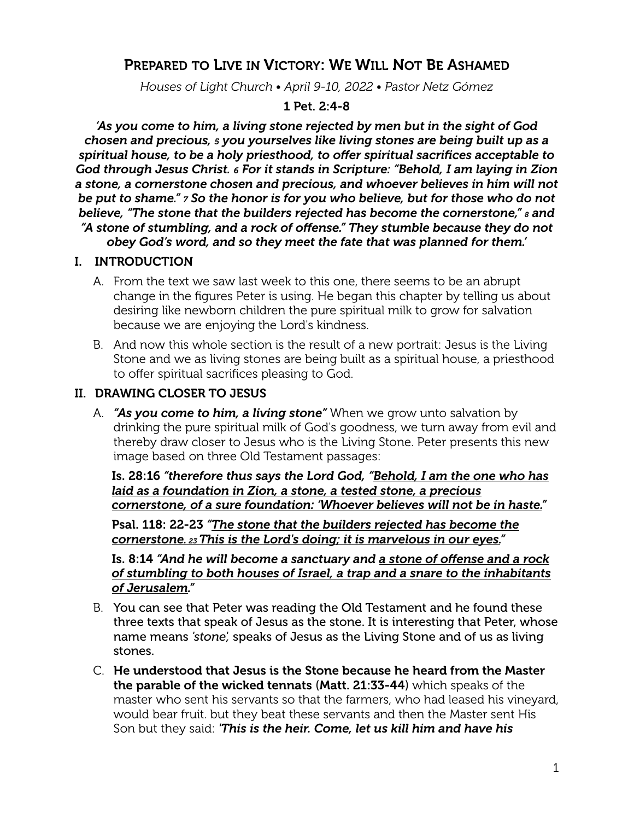# PREPARED TO LIVE IN VICTORY: WE WILL NOT BE ASHAMED

*Houses of Light Church • April 9-10, 2022 • Pastor Netz Gómez*

#### 1 Pet. 2:4-8

*'As you come to him, a living stone rejected by men but in the sight of God chosen and precious, 5 you yourselves like living stones are being built up as a spiritual house, to be a holy priesthood, to offer spiritual sacrifices acceptable to God through Jesus Christ. 6 For it stands in Scripture: "Behold, I am laying in Zion a stone, a cornerstone chosen and precious, and whoever believes in him will not be put to shame." 7 So the honor is for you who believe, but for those who do not believe, "The stone that the builders rejected has become the cornerstone," 8 and "A stone of stumbling, and a rock of offense." They stumble because they do not obey God's word, and so they meet the fate that was planned for them.'*

#### I. INTRODUCTION

- A. From the text we saw last week to this one, there seems to be an abrupt change in the figures Peter is using. He began this chapter by telling us about desiring like newborn children the pure spiritual milk to grow for salvation because we are enjoying the Lord's kindness.
- B. And now this whole section is the result of a new portrait: Jesus is the Living Stone and we as living stones are being built as a spiritual house, a priesthood to offer spiritual sacrifices pleasing to God.

## II. DRAWING CLOSER TO JESUS

A. *"As you come to him, a living stone"* When we grow unto salvation by drinking the pure spiritual milk of God's goodness, we turn away from evil and thereby draw closer to Jesus who is the Living Stone. Peter presents this new image based on three Old Testament passages:

Is. 28:16 *"therefore thus says the Lord God, "Behold, I am the one who has laid as a foundation in Zion, a stone, a tested stone, a precious cornerstone, of a sure foundation: 'Whoever believes will not be in haste."*

Psal. 118: 22-23 *"The stone that the builders rejected has become the cornerstone. 23 This is the Lord's doing; it is marvelous in our eyes."*

Is. 8:14 *"And he will become a sanctuary and a stone of offense and a rock of stumbling to both houses of Israel, a trap and a snare to the inhabitants of Jerusalem."*

- B. You can see that Peter was reading the Old Testament and he found these three texts that speak of Jesus as the stone. It is interesting that Peter, whose name means *'stone',* speaks of Jesus as the Living Stone and of us as living stones.
- C. He understood that Jesus is the Stone because he heard from the Master the parable of the wicked tennats (Matt. 21:33-44) which speaks of the master who sent his servants so that the farmers, who had leased his vineyard, would bear fruit. but they beat these servants and then the Master sent His Son but they said: *'This is the heir. Come, let us kill him and have his*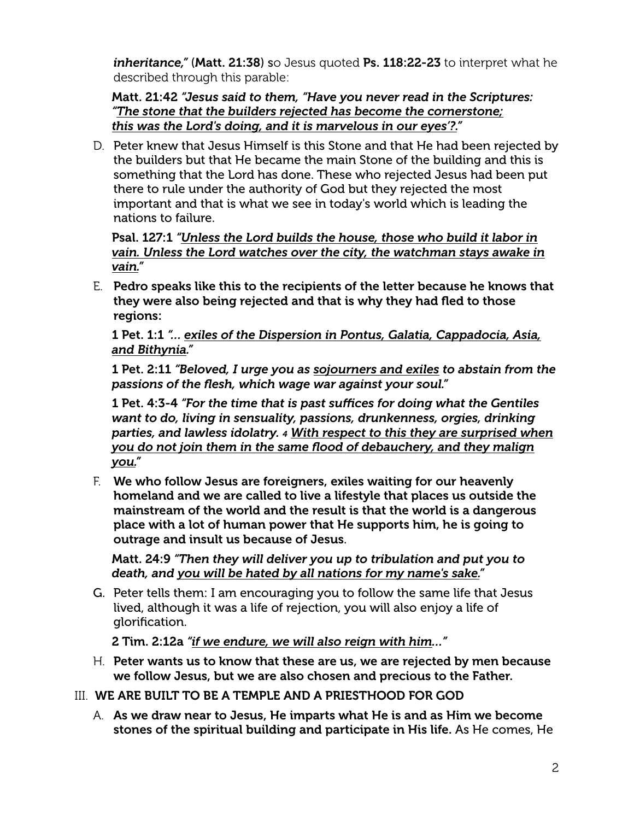*inheritance,*" (Matt. 21:38) so Jesus quoted Ps. 118:22-23 to interpret what he described through this parable:

Matt. 21:42 *"Jesus said to them, "Have you never read in the Scriptures: "The stone that the builders rejected has become the cornerstone; this was the Lord's doing, and it is marvelous in our eyes'?."*

D. Peter knew that Jesus Himself is this Stone and that He had been rejected by the builders but that He became the main Stone of the building and this is something that the Lord has done. These who rejected Jesus had been put there to rule under the authority of God but they rejected the most important and that is what we see in today's world which is leading the nations to failure.

Psal. 127:1 *"Unless the Lord builds the house, those who build it labor in vain. Unless the Lord watches over the city, the watchman stays awake in vain."*

E. Pedro speaks like this to the recipients of the letter because he knows that they were also being rejected and that is why they had fled to those regions:

1 Pet. 1:1 *"… exiles of the Dispersion in Pontus, Galatia, Cappadocia, Asia, and Bithynia."*

1 Pet. 2:11 *"Beloved, I urge you as sojourners and exiles to abstain from the passions of the flesh, which wage war against your soul."*

1 Pet. 4:3-4 *"For the time that is past suffices for doing what the Gentiles want to do, living in sensuality, passions, drunkenness, orgies, drinking parties, and lawless idolatry. 4 With respect to this they are surprised when you do not join them in the same flood of debauchery, and they malign you."*

F. We who follow Jesus are foreigners, exiles waiting for our heavenly homeland and we are called to live a lifestyle that places us outside the mainstream of the world and the result is that the world is a dangerous place with a lot of human power that He supports him, he is going to outrage and insult us because of Jesus.

Matt. 24:9 *"Then they will deliver you up to tribulation and put you to death, and you will be hated by all nations for my name's sake."*

G. Peter tells them: I am encouraging you to follow the same life that Jesus lived, although it was a life of rejection, you will also enjoy a life of glorification.

2 Tim. 2:12a *"if we endure, we will also reign with him…"*

- H. Peter wants us to know that these are us, we are rejected by men because we follow Jesus, but we are also chosen and precious to the Father.
- III. WE ARE BUILT TO BE A TEMPLE AND A PRIESTHOOD FOR GOD
	- A. As we draw near to Jesus, He imparts what He is and as Him we become stones of the spiritual building and participate in His life. As He comes, He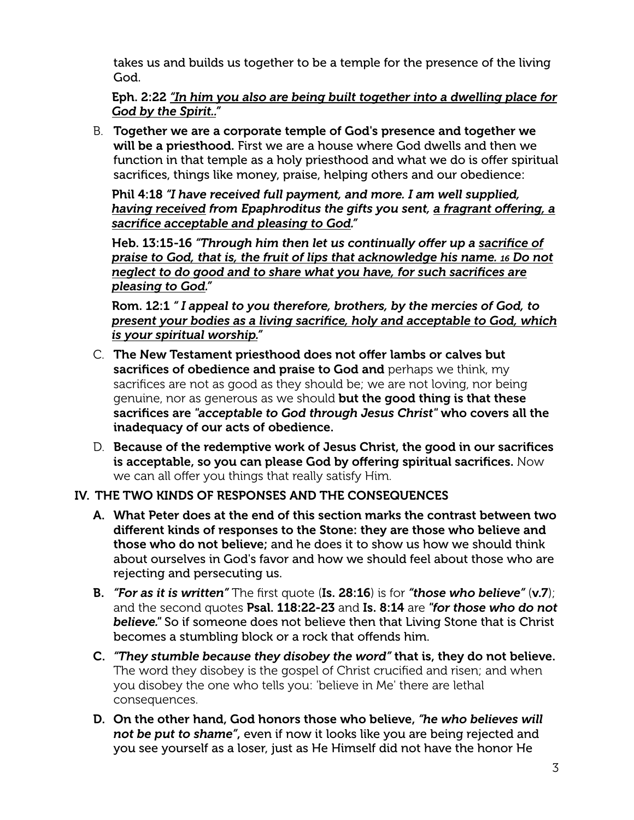takes us and builds us together to be a temple for the presence of the living God.

Eph. 2:22 *"In him you also are being built together into a dwelling place for God by the Spirit.."* 

B. Together we are a corporate temple of God's presence and together we will be a priesthood. First we are a house where God dwells and then we function in that temple as a holy priesthood and what we do is offer spiritual sacrifices, things like money, praise, helping others and our obedience:

Phil 4:18 *"I have received full payment, and more. I am well supplied, having received from Epaphroditus the gifts you sent, a fragrant offering, a sacrifice acceptable and pleasing to God."* 

Heb. 13:15-16 *"Through him then let us continually offer up a sacrifice of praise to God, that is, the fruit of lips that acknowledge his name. 16 Do not neglect to do good and to share what you have, for such sacrifices are pleasing to God."* 

Rom. 12:1 *" I appeal to you therefore, brothers, by the mercies of God, to present your bodies as a living sacrifice, holy and acceptable to God, which is your spiritual worship."*

- C. The New Testament priesthood does not offer lambs or calves but sacrifices of obedience and praise to God and perhaps we think, my sacrifices are not as good as they should be; we are not loving, nor being genuine, nor as generous as we should but the good thing is that these sacrifices are *"acceptable to God through Jesus Christ"* who covers all the inadequacy of our acts of obedience.
- D. Because of the redemptive work of Jesus Christ, the good in our sacrifices is acceptable, so you can please God by offering spiritual sacrifices. Now we can all offer you things that really satisfy Him.

#### IV. THE TWO KINDS OF RESPONSES AND THE CONSEQUENCES

- A. What Peter does at the end of this section marks the contrast between two different kinds of responses to the Stone: they are those who believe and those who do not believe; and he does it to show us how we should think about ourselves in God's favor and how we should feel about those who are rejecting and persecuting us.
- B. *"For as it is written"* The first quote (Is. 28:16) is for *"those who believe"* (v.7); and the second quotes Psal. 118:22-23 and Is. 8:14 are *"for those who do not believe."* So if someone does not believe then that Living Stone that is Christ becomes a stumbling block or a rock that offends him.
- C. *"They stumble because they disobey the word"* that is, they do not believe. The word they disobey is the gospel of Christ crucified and risen; and when you disobey the one who tells you: 'believe in Me' there are lethal consequences.
- D. On the other hand, God honors those who believe, *"he who believes will not be put to shame"*, even if now it looks like you are being rejected and you see yourself as a loser, just as He Himself did not have the honor He